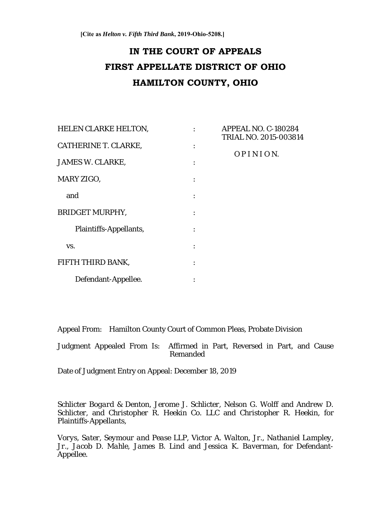# **IN THE COURT OF APPEALS FIRST APPELLATE DISTRICT OF OHIO HAMILTON COUNTY, OHIO**

| HELEN CLARKE HELTON,   | $\ddot{\cdot}$ | APPEAL NO. C-180284<br>TRIAL NO. 2015-003814 |
|------------------------|----------------|----------------------------------------------|
| CATHERINE T. CLARKE,   |                | OPINION.                                     |
| JAMES W. CLARKE,       |                |                                              |
| MARY ZIGO,             |                |                                              |
| and                    |                |                                              |
| BRIDGET MURPHY,        |                |                                              |
| Plaintiffs-Appellants, |                |                                              |
| VS.                    |                |                                              |
| FIFTH THIRD BANK,      |                |                                              |
| Defendant-Appellee.    |                |                                              |

Appeal From: Hamilton County Court of Common Pleas, Probate Division

Judgment Appealed From Is: Affirmed in Part, Reversed in Part, and Cause Remanded

Date of Judgment Entry on Appeal: December 18, 2019

*Schlicter Bogard & Denton, Jerome J. Schlicter, Nelson G. Wolff* and *Andrew D. Schlicter*, and *Christopher R. Heekin Co. LLC* and *Christopher R. Heekin*, for Plaintiffs-Appellants,

*Vorys, Sater, Seymour and Pease LLP, Victor A. Walton, Jr., Nathaniel Lampley, Jr., Jacob D. Mahle, James B. Lind* and *Jessica K. Baverman*, for Defendant-Appellee.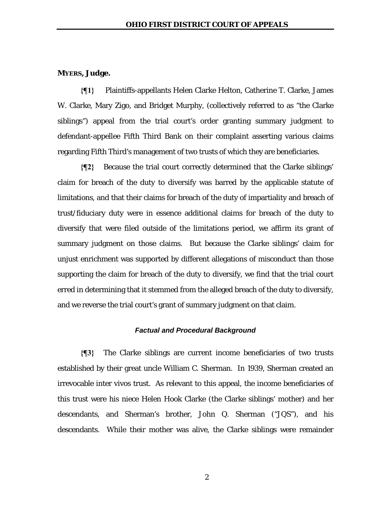# **MYERS, Judge.**

**{¶1}** Plaintiffs-appellants Helen Clarke Helton, Catherine T. Clarke, James W. Clarke, Mary Zigo, and Bridget Murphy, (collectively referred to as "the Clarke siblings") appeal from the trial court's order granting summary judgment to defendant-appellee Fifth Third Bank on their complaint asserting various claims regarding Fifth Third's management of two trusts of which they are beneficiaries.

**{¶2}** Because the trial court correctly determined that the Clarke siblings' claim for breach of the duty to diversify was barred by the applicable statute of limitations, and that their claims for breach of the duty of impartiality and breach of trust/fiduciary duty were in essence additional claims for breach of the duty to diversify that were filed outside of the limitations period, we affirm its grant of summary judgment on those claims. But because the Clarke siblings' claim for unjust enrichment was supported by different allegations of misconduct than those supporting the claim for breach of the duty to diversify, we find that the trial court erred in determining that it stemmed from the alleged breach of the duty to diversify, and we reverse the trial court's grant of summary judgment on that claim.

### *Factual and Procedural Background*

**{¶3}** The Clarke siblings are current income beneficiaries of two trusts established by their great uncle William C. Sherman. In 1939, Sherman created an irrevocable inter vivos trust. As relevant to this appeal, the income beneficiaries of this trust were his niece Helen Hook Clarke (the Clarke siblings' mother) and her descendants, and Sherman's brother, John Q. Sherman ("JQS"), and his descendants. While their mother was alive, the Clarke siblings were remainder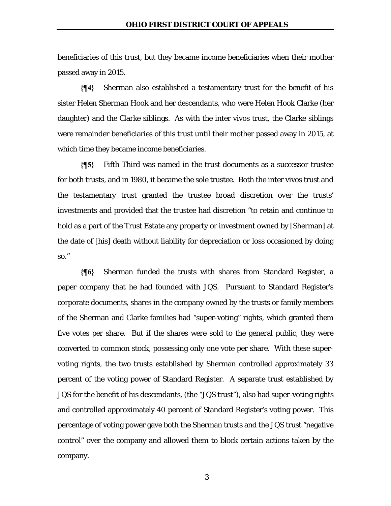beneficiaries of this trust, but they became income beneficiaries when their mother passed away in 2015.

**{¶4}** Sherman also established a testamentary trust for the benefit of his sister Helen Sherman Hook and her descendants, who were Helen Hook Clarke (her daughter) and the Clarke siblings. As with the inter vivos trust, the Clarke siblings were remainder beneficiaries of this trust until their mother passed away in 2015, at which time they became income beneficiaries.

**{¶5}** Fifth Third was named in the trust documents as a successor trustee for both trusts, and in 1980, it became the sole trustee. Both the inter vivos trust and the testamentary trust granted the trustee broad discretion over the trusts' investments and provided that the trustee had discretion "to retain and continue to hold as a part of the Trust Estate any property or investment owned by [Sherman] at the date of [his] death without liability for depreciation or loss occasioned by doing so."

**{¶6}** Sherman funded the trusts with shares from Standard Register, a paper company that he had founded with JQS. Pursuant to Standard Register's corporate documents, shares in the company owned by the trusts or family members of the Sherman and Clarke families had "super-voting" rights, which granted them five votes per share. But if the shares were sold to the general public, they were converted to common stock, possessing only one vote per share. With these supervoting rights, the two trusts established by Sherman controlled approximately 33 percent of the voting power of Standard Register. A separate trust established by JQS for the benefit of his descendants, (the "JQS trust"), also had super-voting rights and controlled approximately 40 percent of Standard Register's voting power. This percentage of voting power gave both the Sherman trusts and the JQS trust "negative control" over the company and allowed them to block certain actions taken by the company.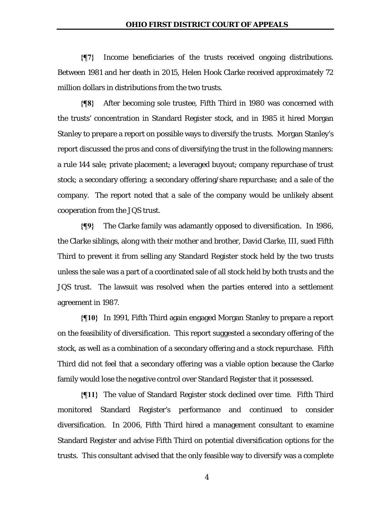**{¶7}** Income beneficiaries of the trusts received ongoing distributions. Between 1981 and her death in 2015, Helen Hook Clarke received approximately 72 million dollars in distributions from the two trusts.

**{¶8}** After becoming sole trustee, Fifth Third in 1980 was concerned with the trusts' concentration in Standard Register stock, and in 1985 it hired Morgan Stanley to prepare a report on possible ways to diversify the trusts. Morgan Stanley's report discussed the pros and cons of diversifying the trust in the following manners: a rule 144 sale; private placement; a leveraged buyout; company repurchase of trust stock; a secondary offering; a secondary offering/share repurchase; and a sale of the company. The report noted that a sale of the company would be unlikely absent cooperation from the JQS trust.

**{¶9}** The Clarke family was adamantly opposed to diversification. In 1986, the Clarke siblings, along with their mother and brother, David Clarke, III, sued Fifth Third to prevent it from selling any Standard Register stock held by the two trusts unless the sale was a part of a coordinated sale of all stock held by both trusts and the JQS trust. The lawsuit was resolved when the parties entered into a settlement agreement in 1987.

**{¶10}** In 1991, Fifth Third again engaged Morgan Stanley to prepare a report on the feasibility of diversification. This report suggested a secondary offering of the stock, as well as a combination of a secondary offering and a stock repurchase. Fifth Third did not feel that a secondary offering was a viable option because the Clarke family would lose the negative control over Standard Register that it possessed.

**{¶11}** The value of Standard Register stock declined over time. Fifth Third monitored Standard Register's performance and continued to consider diversification. In 2006, Fifth Third hired a management consultant to examine Standard Register and advise Fifth Third on potential diversification options for the trusts. This consultant advised that the only feasible way to diversify was a complete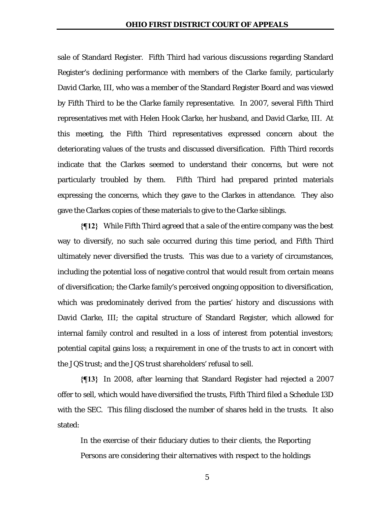sale of Standard Register. Fifth Third had various discussions regarding Standard Register's declining performance with members of the Clarke family, particularly David Clarke, III, who was a member of the Standard Register Board and was viewed by Fifth Third to be the Clarke family representative. In 2007, several Fifth Third representatives met with Helen Hook Clarke, her husband, and David Clarke, III. At this meeting, the Fifth Third representatives expressed concern about the deteriorating values of the trusts and discussed diversification. Fifth Third records indicate that the Clarkes seemed to understand their concerns, but were not particularly troubled by them. Fifth Third had prepared printed materials expressing the concerns, which they gave to the Clarkes in attendance. They also gave the Clarkes copies of these materials to give to the Clarke siblings.

**{¶12}** While Fifth Third agreed that a sale of the entire company was the best way to diversify, no such sale occurred during this time period, and Fifth Third ultimately never diversified the trusts. This was due to a variety of circumstances, including the potential loss of negative control that would result from certain means of diversification; the Clarke family's perceived ongoing opposition to diversification, which was predominately derived from the parties' history and discussions with David Clarke, III; the capital structure of Standard Register, which allowed for internal family control and resulted in a loss of interest from potential investors; potential capital gains loss; a requirement in one of the trusts to act in concert with the JQS trust; and the JQS trust shareholders' refusal to sell.

**{¶13}** In 2008, after learning that Standard Register had rejected a 2007 offer to sell, which would have diversified the trusts, Fifth Third filed a Schedule 13D with the SEC. This filing disclosed the number of shares held in the trusts. It also stated:

In the exercise of their fiduciary duties to their clients, the Reporting Persons are considering their alternatives with respect to the holdings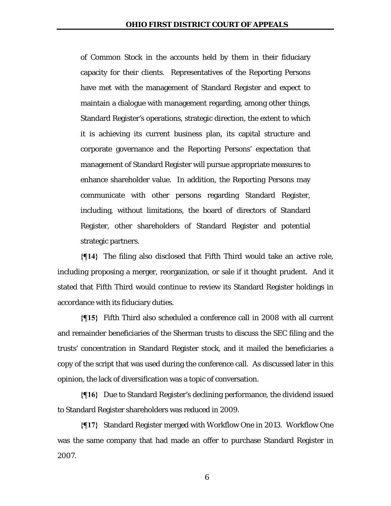of Common Stock in the accounts held by them in their fiduciary capacity for their clients. Representatives of the Reporting Persons have met with the management of Standard Register and expect to maintain a dialogue with management regarding, among other things, Standard Register's operations, strategic direction, the extent to which it is achieving its current business plan, its capital structure and corporate governance and the Reporting Persons' expectation that management of Standard Register will pursue appropriate measures to enhance shareholder value. In addition, the Reporting Persons may communicate with other persons regarding Standard Register, including, without limitations, the board of directors of Standard Register, other shareholders of Standard Register and potential strategic partners.

**{¶14}** The filing also disclosed that Fifth Third would take an active role, including proposing a merger, reorganization, or sale if it thought prudent. And it stated that Fifth Third would continue to review its Standard Register holdings in accordance with its fiduciary duties.

**{¶15}** Fifth Third also scheduled a conference call in 2008 with all current and remainder beneficiaries of the Sherman trusts to discuss the SEC filing and the trusts' concentration in Standard Register stock, and it mailed the beneficiaries a copy of the script that was used during the conference call. As discussed later in this opinion, the lack of diversification was a topic of conversation.

**{¶16}** Due to Standard Register's declining performance, the dividend issued to Standard Register shareholders was reduced in 2009.

**{¶17}** Standard Register merged with Workflow One in 2013. Workflow One was the same company that had made an offer to purchase Standard Register in 2007.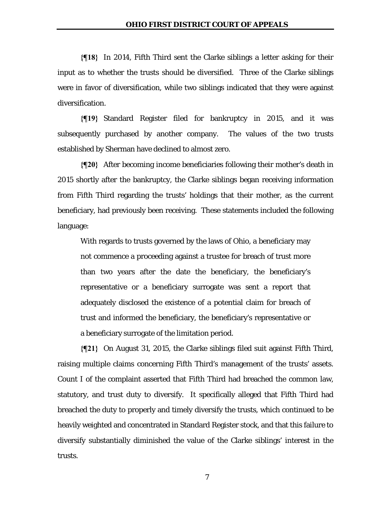**{¶18}** In 2014, Fifth Third sent the Clarke siblings a letter asking for their input as to whether the trusts should be diversified. Three of the Clarke siblings were in favor of diversification, while two siblings indicated that they were against diversification.

**{¶19}** Standard Register filed for bankruptcy in 2015, and it was subsequently purchased by another company. The values of the two trusts established by Sherman have declined to almost zero.

**{¶20}** After becoming income beneficiaries following their mother's death in 2015 shortly after the bankruptcy, the Clarke siblings began receiving information from Fifth Third regarding the trusts' holdings that their mother, as the current beneficiary, had previously been receiving. These statements included the following language:

With regards to trusts governed by the laws of Ohio, a beneficiary may not commence a proceeding against a trustee for breach of trust more than two years after the date the beneficiary, the beneficiary's representative or a beneficiary surrogate was sent a report that adequately disclosed the existence of a potential claim for breach of trust and informed the beneficiary, the beneficiary's representative or a beneficiary surrogate of the limitation period.

**{¶21}** On August 31, 2015, the Clarke siblings filed suit against Fifth Third, raising multiple claims concerning Fifth Third's management of the trusts' assets. Count I of the complaint asserted that Fifth Third had breached the common law, statutory, and trust duty to diversify. It specifically alleged that Fifth Third had breached the duty to properly and timely diversify the trusts, which continued to be heavily weighted and concentrated in Standard Register stock, and that this failure to diversify substantially diminished the value of the Clarke siblings' interest in the trusts.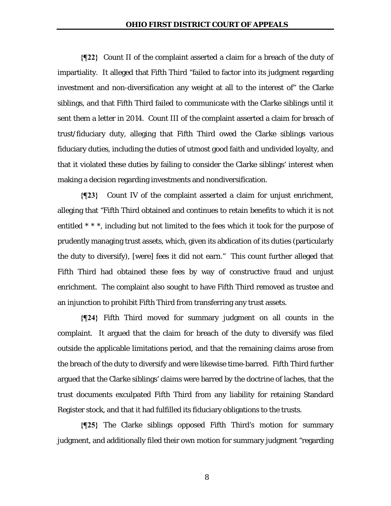**{¶22}** Count II of the complaint asserted a claim for a breach of the duty of impartiality. It alleged that Fifth Third "failed to factor into its judgment regarding investment and non-diversification any weight at all to the interest of" the Clarke siblings, and that Fifth Third failed to communicate with the Clarke siblings until it sent them a letter in 2014. Count III of the complaint asserted a claim for breach of trust/fiduciary duty, alleging that Fifth Third owed the Clarke siblings various fiduciary duties, including the duties of utmost good faith and undivided loyalty, and that it violated these duties by failing to consider the Clarke siblings' interest when making a decision regarding investments and nondiversification.

**{¶23}** Count IV of the complaint asserted a claim for unjust enrichment, alleging that "Fifth Third obtained and continues to retain benefits to which it is not entitled \* \* \*, including but not limited to the fees which it took for the purpose of prudently managing trust assets, which, given its abdication of its duties (particularly the duty to diversify), [were] fees it did not earn." This count further alleged that Fifth Third had obtained these fees by way of constructive fraud and unjust enrichment. The complaint also sought to have Fifth Third removed as trustee and an injunction to prohibit Fifth Third from transferring any trust assets.

**{¶24}** Fifth Third moved for summary judgment on all counts in the complaint. It argued that the claim for breach of the duty to diversify was filed outside the applicable limitations period, and that the remaining claims arose from the breach of the duty to diversify and were likewise time-barred. Fifth Third further argued that the Clarke siblings' claims were barred by the doctrine of laches, that the trust documents exculpated Fifth Third from any liability for retaining Standard Register stock, and that it had fulfilled its fiduciary obligations to the trusts.

**{¶25}** The Clarke siblings opposed Fifth Third's motion for summary judgment, and additionally filed their own motion for summary judgment "regarding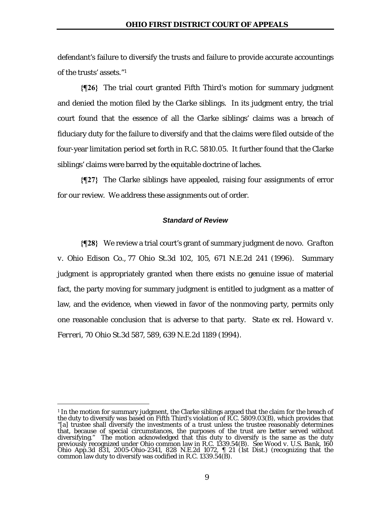defendant's failure to diversify the trusts and failure to provide accurate accountings of the trusts' assets."1

**{¶26}** The trial court granted Fifth Third's motion for summary judgment and denied the motion filed by the Clarke siblings. In its judgment entry, the trial court found that the essence of all the Clarke siblings' claims was a breach of fiduciary duty for the failure to diversify and that the claims were filed outside of the four-year limitation period set forth in R.C. 5810.05. It further found that the Clarke siblings' claims were barred by the equitable doctrine of laches.

**{¶27}** The Clarke siblings have appealed, raising four assignments of error for our review. We address these assignments out of order.

### *Standard of Review*

**{¶28}** We review a trial court's grant of summary judgment de novo. *Grafton v. Ohio Edison Co.,* 77 Ohio St.3d 102, 105, 671 N.E.2d 241 (1996). Summary judgment is appropriately granted when there exists no genuine issue of material fact, the party moving for summary judgment is entitled to judgment as a matter of law, and the evidence, when viewed in favor of the nonmoving party, permits only one reasonable conclusion that is adverse to that party. *State ex rel. Howard v. Ferreri,* 70 Ohio St.3d 587, 589, 639 N.E.2d 1189 (1994).

<sup>&</sup>lt;sup>1</sup> In the motion for summary judgment, the Clarke siblings argued that the claim for the breach of the duty to diversify was based on Fifth Third's violation of R.C. 5809.03(B), which provides that "[a] trustee shall diversify the investments of a trust unless the trustee reasonably determines that, because of special circumstances, the purposes of the trust are better served without diversifying." The motion acknowledged that this duty to diversify is the same as the duty previously recognized under Ohio common law in R.C. 1339.54(B). *See Wood v. U.S. Bank*, 160 Ohio App.3d 831, 2005-Ohio-2341, 828 N.E.2d 1072, ¶ 21 (1st Dist.) (recognizing that the common law duty to diversify was codified in R.C. 1339.54(B).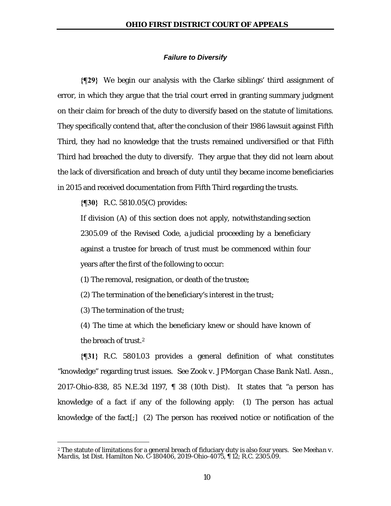#### *Failure to Diversify*

**{¶29}** We begin our analysis with the Clarke siblings' third assignment of error, in which they argue that the trial court erred in granting summary judgment on their claim for breach of the duty to diversify based on the statute of limitations. They specifically contend that, after the conclusion of their 1986 lawsuit against Fifth Third, they had no knowledge that the trusts remained undiversified or that Fifth Third had breached the duty to diversify. They argue that they did not learn about the lack of diversification and breach of duty until they became income beneficiaries in 2015 and received documentation from Fifth Third regarding the trusts.

**{¶30}** R.C. 5810.05(C) provides:

If division (A) of this section does not apply, notwithstanding section 2305.09 of the Revised Code, a judicial proceeding by a beneficiary against a trustee for breach of trust must be commenced within four years after the first of the following to occur:

(1) The removal, resignation, or death of the trustee;

(2) The termination of the beneficiary's interest in the trust;

(3) The termination of the trust;

1

(4) The time at which the beneficiary knew or should have known of the breach of trust.<sup>2</sup>

**{¶31}** R.C. 5801.03 provides a general definition of what constitutes "knowledge" regarding trust issues. *See Zook v. JPMorgan Chase Bank Natl. Assn*., 2017-Ohio-838, 85 N.E.3d 1197, ¶ 38 (10th Dist). It states that "a person has knowledge of a fact if any of the following apply: (1) The person has actual knowledge of the fact[;] (2) The person has received notice or notification of the

<sup>2</sup> The statute of limitations for a general breach of fiduciary duty is also four years. *See Meehan v. Mardis*, 1st Dist. Hamilton No. C-180406, 2019-Ohio-4075, ¶ 12; R.C. 2305.09.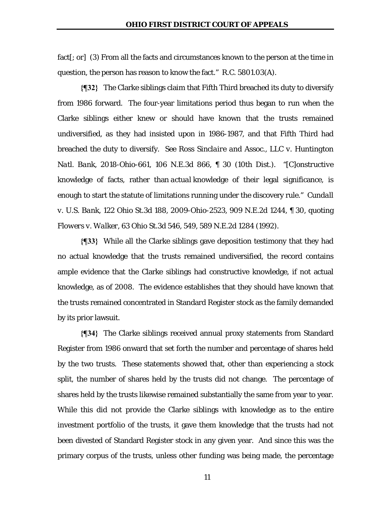fact[; or] (3) From all the facts and circumstances known to the person at the time in question, the person has reason to know the fact." R.C. 5801.03(A).

**{¶32}** The Clarke siblings claim that Fifth Third breached its duty to diversify from 1986 forward. The four-year limitations period thus began to run when the Clarke siblings either knew or should have known that the trusts remained undiversified, as they had insisted upon in 1986-1987, and that Fifth Third had breached the duty to diversify. *See Ross Sinclaire and Assoc., LLC v. Huntington Natl. Bank*, 2018-Ohio-661, 106 N.E.3d 866, ¶ 30 (10th Dist.). "[*C*]*onstructive*  knowledge of facts, rather than *actual* knowledge of their legal significance, is enough to start the statute of limitations running under the discovery rule." *Cundall v. U.S. Bank*, 122 Ohio St.3d 188, 2009-Ohio-2523, 909 N.E.2d 1244, ¶ 30, quoting *Flowers v. Walker*, 63 Ohio St.3d 546, 549, 589 N.E.2d 1284 (1992).

**{¶33}** While all the Clarke siblings gave deposition testimony that they had no actual knowledge that the trusts remained undiversified, the record contains ample evidence that the Clarke siblings had constructive knowledge, if not actual knowledge, as of 2008. The evidence establishes that they should have known that the trusts remained concentrated in Standard Register stock as the family demanded by its prior lawsuit.

**{¶34}** The Clarke siblings received annual proxy statements from Standard Register from 1986 onward that set forth the number and percentage of shares held by the two trusts. These statements showed that, other than experiencing a stock split, the number of shares held by the trusts did not change. The percentage of shares held by the trusts likewise remained substantially the same from year to year. While this did not provide the Clarke siblings with knowledge as to the entire investment portfolio of the trusts, it gave them knowledge that the trusts had not been divested of Standard Register stock in any given year. And since this was the primary corpus of the trusts, unless other funding was being made, the percentage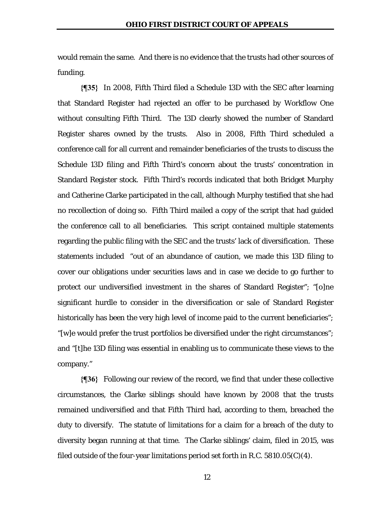would remain the same. And there is no evidence that the trusts had other sources of funding.

**{¶35}** In 2008, Fifth Third filed a Schedule 13D with the SEC after learning that Standard Register had rejected an offer to be purchased by Workflow One without consulting Fifth Third. The 13D clearly showed the number of Standard Register shares owned by the trusts. Also in 2008, Fifth Third scheduled a conference call for all current and remainder beneficiaries of the trusts to discuss the Schedule 13D filing and Fifth Third's concern about the trusts' concentration in Standard Register stock. Fifth Third's records indicated that both Bridget Murphy and Catherine Clarke participated in the call, although Murphy testified that she had no recollection of doing so. Fifth Third mailed a copy of the script that had guided the conference call to all beneficiaries. This script contained multiple statements regarding the public filing with the SEC and the trusts' lack of diversification. These statements included "out of an abundance of caution, we made this 13D filing to cover our obligations under securities laws and in case we decide to go further to protect our undiversified investment in the shares of Standard Register"; "[o]ne significant hurdle to consider in the diversification or sale of Standard Register historically has been the very high level of income paid to the current beneficiaries"; "[w]e would prefer the trust portfolios be diversified under the right circumstances"; and "[t]he 13D filing was essential in enabling us to communicate these views to the company."

**{¶36}** Following our review of the record, we find that under these collective circumstances, the Clarke siblings should have known by 2008 that the trusts remained undiversified and that Fifth Third had, according to them, breached the duty to diversify. The statute of limitations for a claim for a breach of the duty to diversity began running at that time. The Clarke siblings' claim, filed in 2015, was filed outside of the four-year limitations period set forth in R.C. 5810.05(C)(4).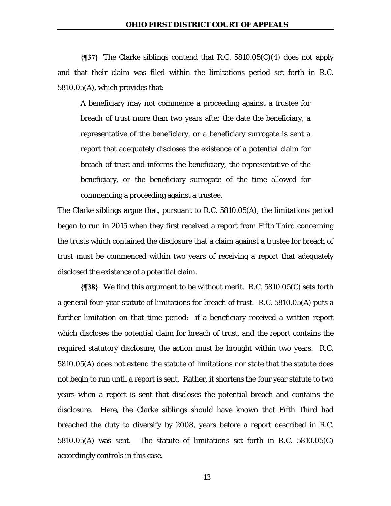**{¶37}** The Clarke siblings contend that R.C. 5810.05(C)(4) does not apply and that their claim was filed within the limitations period set forth in R.C. 5810.05(A), which provides that:

A beneficiary may not commence a proceeding against a trustee for breach of trust more than two years after the date the beneficiary, a representative of the beneficiary, or a beneficiary surrogate is sent a report that adequately discloses the existence of a potential claim for breach of trust and informs the beneficiary, the representative of the beneficiary, or the beneficiary surrogate of the time allowed for commencing a proceeding against a trustee.

The Clarke siblings argue that, pursuant to R.C. 5810.05(A), the limitations period began to run in 2015 when they first received a report from Fifth Third concerning the trusts which contained the disclosure that a claim against a trustee for breach of trust must be commenced within two years of receiving a report that adequately disclosed the existence of a potential claim.

**{¶38}** We find this argument to be without merit. R.C. 5810.05(C) sets forth a general four-year statute of limitations for breach of trust. R.C. 5810.05(A) puts a further limitation on that time period: if a beneficiary received a written report which discloses the potential claim for breach of trust, and the report contains the required statutory disclosure, the action must be brought within two years. R.C. 5810.05(A) does not extend the statute of limitations nor state that the statute does not begin to run until a report is sent. Rather, it shortens the four year statute to two years when a report is sent that discloses the potential breach and contains the disclosure. Here, the Clarke siblings should have known that Fifth Third had breached the duty to diversify by 2008, years before a report described in R.C. 5810.05(A) was sent. The statute of limitations set forth in R.C. 5810.05(C) accordingly controls in this case.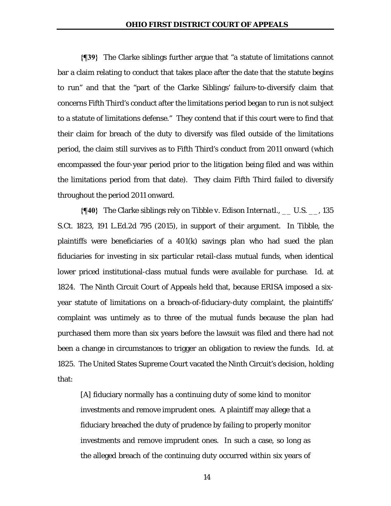**{¶39}** The Clarke siblings further argue that "a statute of limitations cannot bar a claim relating to conduct that takes place after the date that the statute begins to run" and that the "part of the Clarke Siblings' failure-to-diversify claim that concerns Fifth Third's conduct after the limitations period began to run is not subject to a statute of limitations defense." They contend that if this court were to find that their claim for breach of the duty to diversify was filed outside of the limitations period, the claim still survives as to Fifth Third's conduct from 2011 onward (which encompassed the four-year period prior to the litigation being filed and was within the limitations period from that date). They claim Fifth Third failed to diversify throughout the period 2011 onward.

**{¶40}** The Clarke siblings rely on *Tibble v. Edison Internatl*., \_\_ U.S. \_\_, 135 S.Ct. 1823, 191 L.Ed.2d 795 (2015), in support of their argument. In *Tibble*, the plaintiffs were beneficiaries of a 401(k) savings plan who had sued the plan fiduciaries for investing in six particular retail-class mutual funds, when identical lower priced institutional-class mutual funds were available for purchase. *Id.* at 1824. The Ninth Circuit Court of Appeals held that, because ERISA imposed a sixyear statute of limitations on a breach-of-fiduciary-duty complaint, the plaintiffs' complaint was untimely as to three of the mutual funds because the plan had purchased them more than six years before the lawsuit was filed and there had not been a change in circumstances to trigger an obligation to review the funds. *Id.* at 1825. The United States Supreme Court vacated the Ninth Circuit's decision, holding that:

[A] fiduciary normally has a continuing duty of some kind to monitor investments and remove imprudent ones. A plaintiff may allege that a fiduciary breached the duty of prudence by failing to properly monitor investments and remove imprudent ones. In such a case, so long as the alleged breach of the continuing duty occurred within six years of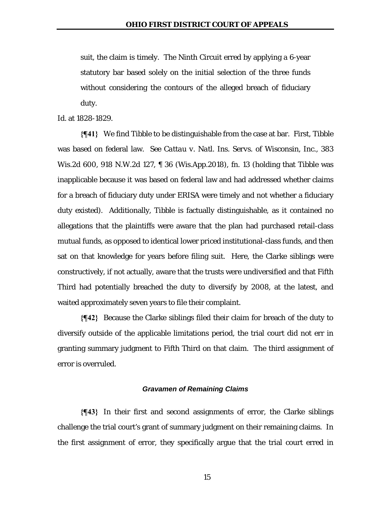suit, the claim is timely. The Ninth Circuit erred by applying a 6-year statutory bar based solely on the initial selection of the three funds without considering the contours of the alleged breach of fiduciary duty.

*Id.* at 1828-1829.

**{¶41}** We find *Tibble* to be distinguishable from the case at bar. First, *Tibble* was based on federal law. *See Cattau v. Natl. Ins. Servs. of Wisconsin, Inc*., 383 Wis.2d 600, 918 N.W.2d 127, ¶ 36 (Wis.App.2018), fn. 13 (holding that *Tibble* was inapplicable because it was based on federal law and had addressed whether claims for a breach of fiduciary duty under ERISA were timely and not whether a fiduciary duty existed). Additionally, *Tibble* is factually distinguishable, as it contained no allegations that the plaintiffs were aware that the plan had purchased retail-class mutual funds, as opposed to identical lower priced institutional-class funds, and then sat on that knowledge for years before filing suit. Here, the Clarke siblings were constructively, if not actually, aware that the trusts were undiversified and that Fifth Third had potentially breached the duty to diversify by 2008, at the latest, and waited approximately seven years to file their complaint.

**{¶42}** Because the Clarke siblings filed their claim for breach of the duty to diversify outside of the applicable limitations period, the trial court did not err in granting summary judgment to Fifth Third on that claim. The third assignment of error is overruled.

#### *Gravamen of Remaining Claims*

**{¶43}** In their first and second assignments of error, the Clarke siblings challenge the trial court's grant of summary judgment on their remaining claims. In the first assignment of error, they specifically argue that the trial court erred in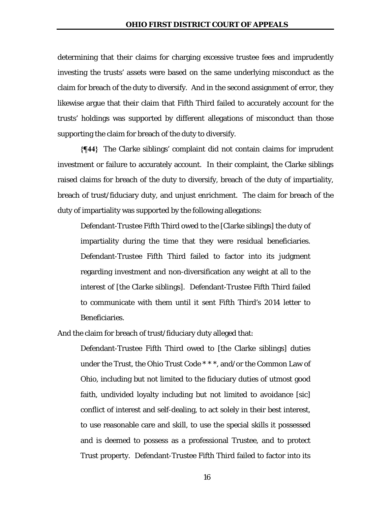determining that their claims for charging excessive trustee fees and imprudently investing the trusts' assets were based on the same underlying misconduct as the claim for breach of the duty to diversify. And in the second assignment of error, they likewise argue that their claim that Fifth Third failed to accurately account for the trusts' holdings was supported by different allegations of misconduct than those supporting the claim for breach of the duty to diversify.

**{¶44}** The Clarke siblings' complaint did not contain claims for imprudent investment or failure to accurately account. In their complaint, the Clarke siblings raised claims for breach of the duty to diversify, breach of the duty of impartiality, breach of trust/fiduciary duty, and unjust enrichment. The claim for breach of the duty of impartiality was supported by the following allegations:

Defendant-Trustee Fifth Third owed to the [Clarke siblings] the duty of impartiality during the time that they were residual beneficiaries. Defendant-Trustee Fifth Third failed to factor into its judgment regarding investment and non-diversification any weight at all to the interest of [the Clarke siblings]. Defendant-Trustee Fifth Third failed to communicate with them until it sent Fifth Third's 2014 letter to Beneficiaries.

And the claim for breach of trust/fiduciary duty alleged that:

Defendant-Trustee Fifth Third owed to [the Clarke siblings] duties under the Trust, the Ohio Trust Code \* \* \*, and/or the Common Law of Ohio, including but not limited to the fiduciary duties of utmost good faith, undivided loyalty including but not limited to avoidance [sic] conflict of interest and self-dealing, to act solely in their best interest, to use reasonable care and skill, to use the special skills it possessed and is deemed to possess as a professional Trustee, and to protect Trust property. Defendant-Trustee Fifth Third failed to factor into its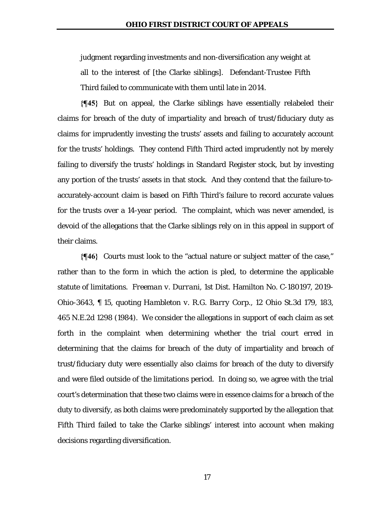judgment regarding investments and non-diversification any weight at all to the interest of [the Clarke siblings]. Defendant-Trustee Fifth Third failed to communicate with them until late in 2014.

**{¶45}** But on appeal, the Clarke siblings have essentially relabeled their claims for breach of the duty of impartiality and breach of trust/fiduciary duty as claims for imprudently investing the trusts' assets and failing to accurately account for the trusts' holdings. They contend Fifth Third acted imprudently not by merely failing to diversify the trusts' holdings in Standard Register stock, but by investing any portion of the trusts' assets in that stock. And they contend that the failure-toaccurately-account claim is based on Fifth Third's failure to record accurate values for the trusts over a 14-year period. The complaint, which was never amended, is devoid of the allegations that the Clarke siblings rely on in this appeal in support of their claims.

**{¶46}** Courts must look to the "actual nature or subject matter of the case," rather than to the form in which the action is pled, to determine the applicable statute of limitations. *Freeman v. Durrani*, 1st Dist. Hamilton No. C-180197, 2019- Ohio-3643, ¶ 15, quoting *Hambleton v. R.G. Barry Corp.*, 12 Ohio St.3d 179, 183, 465 N.E.2d 1298 (1984). We consider the allegations in support of each claim as set forth in the complaint when determining whether the trial court erred in determining that the claims for breach of the duty of impartiality and breach of trust/fiduciary duty were essentially also claims for breach of the duty to diversify and were filed outside of the limitations period. In doing so, we agree with the trial court's determination that these two claims were in essence claims for a breach of the duty to diversify, as both claims were predominately supported by the allegation that Fifth Third failed to take the Clarke siblings' interest into account when making decisions regarding diversification.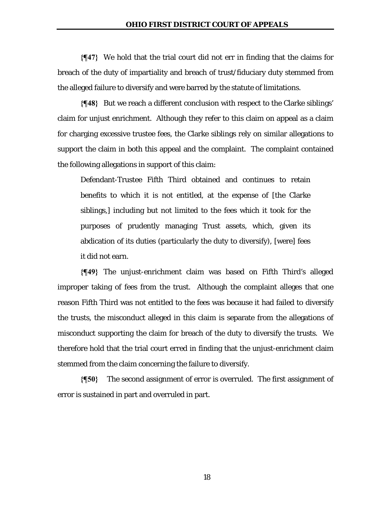**{¶47}** We hold that the trial court did not err in finding that the claims for breach of the duty of impartiality and breach of trust/fiduciary duty stemmed from the alleged failure to diversify and were barred by the statute of limitations.

**{¶48}** But we reach a different conclusion with respect to the Clarke siblings' claim for unjust enrichment. Although they refer to this claim on appeal as a claim for charging excessive trustee fees, the Clarke siblings rely on similar allegations to support the claim in both this appeal and the complaint. The complaint contained the following allegations in support of this claim:

Defendant-Trustee Fifth Third obtained and continues to retain benefits to which it is not entitled, at the expense of [the Clarke siblings,] including but not limited to the fees which it took for the purposes of prudently managing Trust assets, which, given its abdication of its duties (particularly the duty to diversify), [were] fees it did not earn.

**{¶49}** The unjust-enrichment claim was based on Fifth Third's alleged improper taking of fees from the trust. Although the complaint alleges that one reason Fifth Third was not entitled to the fees was because it had failed to diversify the trusts, the misconduct alleged in this claim is separate from the allegations of misconduct supporting the claim for breach of the duty to diversify the trusts. We therefore hold that the trial court erred in finding that the unjust-enrichment claim stemmed from the claim concerning the failure to diversify.

**{¶50}** The second assignment of error is overruled. The first assignment of error is sustained in part and overruled in part.